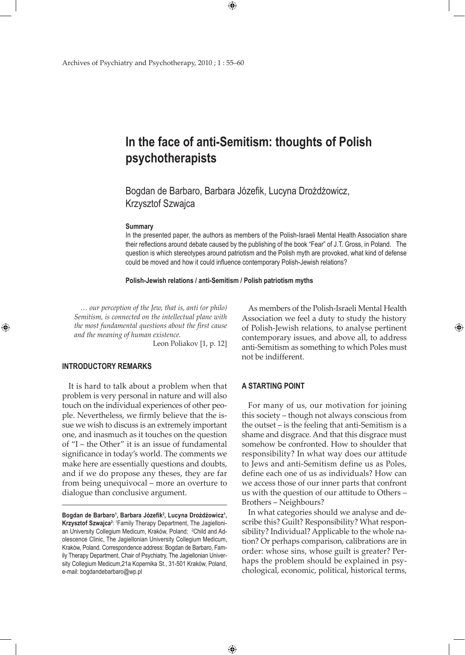$\bigoplus$ 

Archives of Psychiatry and Psychotherapy, 2010 ; 1 : 55–60

# **In the face of anti-Semitism: thoughts of Polish psychotherapists**

Bogdan de Barbaro, Barbara Józefik, Lucyna Drożdżowicz, Krzysztof Szwajca

#### **Summary**

In the presented paper, the authors as members of the Polish-Israeli Mental Health Association share their reflections around debate caused by the publishing of the book "Fear" of J.T. Gross, in Poland. The question is which stereotypes around patriotism and the Polish myth are provoked, what kind of defense could be moved and how it could influence contemporary Polish-Jewish relations?

**Polish-Jewish relations / anti-Semitism / Polish patriotism myths**

*… our perception of the Jew, that is, anti (or philo) Semitism, is connected on the intellectual plane with the most fundamental questions about the first cause and the meaning of human existence.*

Leon Poliakov [1, p. 12]

# **INTRODUCTORY REMARKS**

⊕

It is hard to talk about a problem when that problem is very personal in nature and will also touch on the individual experiences of other people. Nevertheless, we firmly believe that the issue we wish to discuss is an extremely important one, and inasmuch as it touches on the question of "I – the Other" it is an issue of fundamental significance in today's world. The comments we make here are essentially questions and doubts, and if we do propose any theses, they are far from being unequivocal – more an overture to dialogue than conclusive argument.

As members of the Polish-Israeli Mental Health Association we feel a duty to study the history of Polish-Jewish relations, to analyse pertinent contemporary issues, and above all, to address anti-Semitism as something to which Poles must not be indifferent.

⊕

# **A STARTING POINT**

For many of us, our motivation for joining this society – though not always conscious from the outset – is the feeling that anti-Semitism is a shame and disgrace. And that this disgrace must somehow be confronted. How to shoulder that responsibility? In what way does our attitude to Jews and anti-Semitism define us as Poles, define each one of us as individuals? How can we access those of our inner parts that confront us with the question of our attitude to Others – Brothers – Neighbours?

In what categories should we analyse and describe this? Guilt? Responsibility? What responsibility? Individual? Applicable to the whole nation? Or perhaps comparison, calibrations are in order: whose sins, whose guilt is greater? Perhaps the problem should be explained in psychological, economic, political, historical terms,

 $\bigoplus$ 

Bogdan de Barbaro<sup>1</sup>, Barbara Józefik<sup>2</sup>, Lucyna Drożdżowicz<sup>1</sup>, **Krzysztof Szwajca<sup>2</sup>: <sup>1</sup>Family Therapy Department, The Jagielloni**an University Collegium Medicum, Kraków, Poland; <sup>2</sup>Child and Adolescence Clinic, The Jagiellonian University Collegium Medicum, Kraków, Poland. Correspondence address: Bogdan de Barbaro, Family Therapy Department, Chair of Psychiatry, The Jagiellonian University Collegium Medicum,21a Kopernika St., 31-501 Kraków, Poland, e-mail: bogdandebarbaro@wp.pl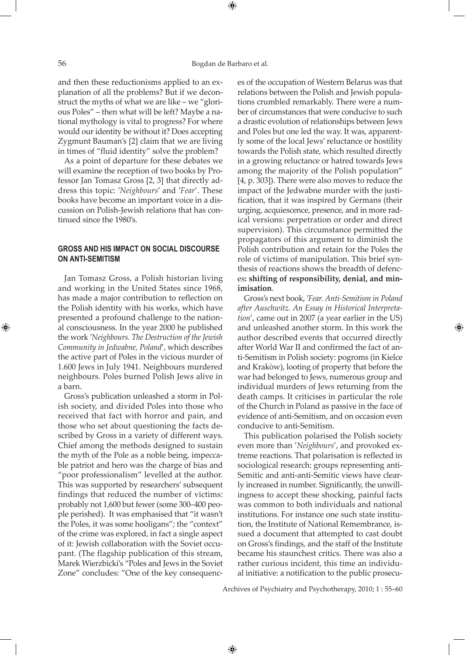and then these reductionisms applied to an explanation of all the problems? But if we deconstruct the myths of what we are like – we "glorious Poles" – then what will be left? Maybe a national mythology is vital to progress? For where would our identity be without it? Does accepting Zygmunt Bauman's [2] claim that we are living in times of "fluid identity" solve the problem?

As a point of departure for these debates we will examine the reception of two books by Professor Jan Tomasz Gross [2, 3] that directly address this topic: ′*Neighbours*' and ′*Fear*'. These books have become an important voice in a discussion on Polish-Jewish relations that has continued since the 1980's.

# **GROSS AND HIS IMPACT ON SOCIAL DISCOURSE ON ANTI-SEMITISM**

Jan Tomasz Gross, a Polish historian living and working in the United States since 1968, has made a major contribution to reflection on the Polish identity with his works, which have presented a profound challenge to the national consciousness. In the year 2000 he published the work ′*Neighbours. The Destruction of the Jewish Community in Jedwabne, Poland*', which describes the active part of Poles in the vicious murder of 1.600 Jews in July 1941. Neighbours murdered neighbours. Poles burned Polish Jews alive in a barn.

Gross's publication unleashed a storm in Polish society, and divided Poles into those who received that fact with horror and pain, and those who set about questioning the facts described by Gross in a variety of different ways. Chief among the methods designed to sustain the myth of the Pole as a noble being, impeccable patriot and hero was the charge of bias and "poor professionalism" levelled at the author. This was supported by researchers' subsequent findings that reduced the number of victims: probably not 1,600 but fewer (some 300–400 people perished). It was emphasised that "it wasn't the Poles, it was some hooligans"; the "context" of the crime was explored, in fact a single aspect of it: Jewish collaboration with the Soviet occupant. (The flagship publication of this stream, Marek Wierzbicki's "Poles and Jews in the Soviet Zone" concludes: "One of the key consequences of the occupation of Western Belarus was that relations between the Polish and Jewish populations crumbled remarkably. There were a number of circumstances that were conducive to such a drastic evolution of relationships between Jews and Poles but one led the way. It was, apparently some of the local Jews' reluctance or hostility towards the Polish state, which resulted directly in a growing reluctance or hatred towards Jews among the majority of the Polish population" [4, p. 303]). There were also moves to reduce the impact of the Jedwabne murder with the justification, that it was inspired by Germans (their urging, acquiescence, presence, and in more radical versions: perpetration or order and direct supervision). This circumstance permitted the propagators of this argument to diminish the Polish contribution and retain for the Poles the role of victims of manipulation. This brief synthesis of reactions shows the breadth of defences**: shifting of responsibility, denial, and minimisation**.

Gross's next book, ′*Fear. Anti-Semitism in Poland after Auschwitz. An Essay in Historical Interpretation*', came out in 2007 (a year earlier in the US) and unleashed another storm. In this work the author described events that occurred directly after World War II and confirmed the fact of anti-Semitism in Polish society: pogroms (in Kielce and Krakòw), looting of property that before the war had belonged to Jews, numerous group and individual murders of Jews returning from the death camps. It criticises in particular the role of the Church in Poland as passive in the face of evidence of anti-Semitism, and on occasion even conducive to anti-Semitism.

This publication polarised the Polish society even more than '*Neighbours*', and provoked extreme reactions. That polarisation is reflected in sociological research: groups representing anti-Semitic and anti-anti-Semitic views have clearly increased in number. Significantly, the unwillingness to accept these shocking, painful facts was common to both individuals and national institutions. For instance one such state institution, the Institute of National Remembrance, issued a document that attempted to cast doubt on Gross's findings, and the staff of the Institute became his staunchest critics. There was also a rather curious incident, this time an individual initiative: a notification to the public prosecu-

Archives of Psychiatry and Psychotherapy, 2010; 1 : 55–60

 $\bigoplus$ 

⊕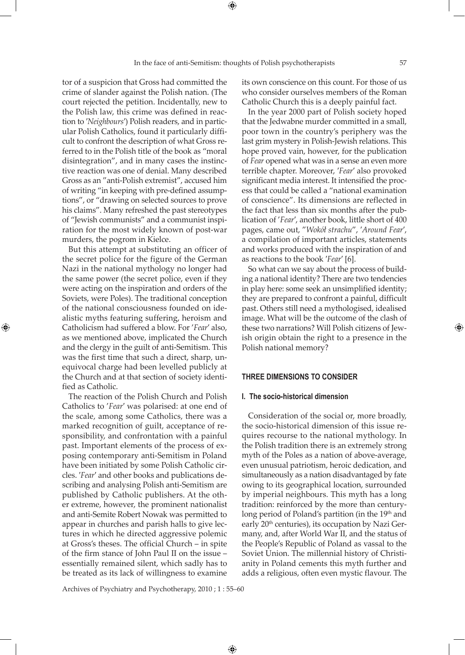tor of a suspicion that Gross had committed the crime of slander against the Polish nation. (The court rejected the petition. Incidentally, new to the Polish law, this crime was defined in reaction to ′*Neighbours*′) Polish readers, and in particular Polish Catholics, found it particularly difficult to confront the description of what Gross referred to in the Polish title of the book as "moral disintegration", and in many cases the instinctive reaction was one of denial. Many described Gross as an "anti-Polish extremist", accused him of writing "in keeping with pre-defined assumptions", or "drawing on selected sources to prove his claims". Many refreshed the past stereotypes of "Jewish communists" and a communist inspiration for the most widely known of post-war

murders, the pogrom in Kielce. But this attempt at substituting an officer of the secret police for the figure of the German Nazi in the national mythology no longer had the same power (the secret police, even if they were acting on the inspiration and orders of the Soviets, were Poles). The traditional conception of the national consciousness founded on idealistic myths featuring suffering, heroism and Catholicism had suffered a blow. For '*Fear*' also, as we mentioned above, implicated the Church and the clergy in the guilt of anti-Semitism. This was the first time that such a direct, sharp, unequivocal charge had been levelled publicly at the Church and at that section of society identified as Catholic.

⊕

The reaction of the Polish Church and Polish Catholics to '*Fear*′ was polarised: at one end of the scale, among some Catholics, there was a marked recognition of guilt, acceptance of responsibility, and confrontation with a painful past. Important elements of the process of exposing contemporary anti-Semitism in Poland have been initiated by some Polish Catholic circles. ′*Fear*′ and other books and publications describing and analysing Polish anti-Semitism are published by Catholic publishers. At the other extreme, however, the prominent nationalist and anti-Semite Robert Nowak was permitted to appear in churches and parish halls to give lectures in which he directed aggressive polemic at Gross's theses. The official Church – in spite of the firm stance of John Paul II on the issue – essentially remained silent, which sadly has to be treated as its lack of willingness to examine

its own conscience on this count. For those of us who consider ourselves members of the Roman Catholic Church this is a deeply painful fact.

In the year 2000 part of Polish society hoped that the Jedwabne murder committed in a small, poor town in the country's periphery was the last grim mystery in Polish-Jewish relations. This hope proved vain, however, for the publication of *Fear* opened what was in a sense an even more terrible chapter. Moreover, ′*Fear*′ also provoked significant media interest. It intensified the process that could be called a "national examination of conscience". Its dimensions are reflected in the fact that less than six months after the publication of '*Fear*′, another book, little short of 400 pages, came out, "*Wokół strachu*", ′*Around Fear*′, a compilation of important articles, statements and works produced with the inspiration of and as reactions to the book ′*Fear*′ [6].

So what can we say about the process of building a national identity? There are two tendencies in play here: some seek an unsimplified identity; they are prepared to confront a painful, difficult past. Others still need a mythologised, idealised image. What will be the outcome of the clash of these two narrations? Will Polish citizens of Jewish origin obtain the right to a presence in the Polish national memory?

### **THREE DIMENSIONS TO CONSIDER**

#### **I. The socio-historical dimension**

Consideration of the social or, more broadly, the socio-historical dimension of this issue requires recourse to the national mythology. In the Polish tradition there is an extremely strong myth of the Poles as a nation of above-average, even unusual patriotism, heroic dedication, and simultaneously as a nation disadvantaged by fate owing to its geographical location, surrounded by imperial neighbours. This myth has a long tradition: reinforced by the more than centurylong period of Poland's partition (in the 19<sup>th</sup> and early 20<sup>th</sup> centuries), its occupation by Nazi Germany, and, after World War II, and the status of the People's Republic of Poland as vassal to the Soviet Union. The millennial history of Christianity in Poland cements this myth further and adds a religious, often even mystic flavour. The

Archives of Psychiatry and Psychotherapy, 2010 ; 1 : 55–60

⊕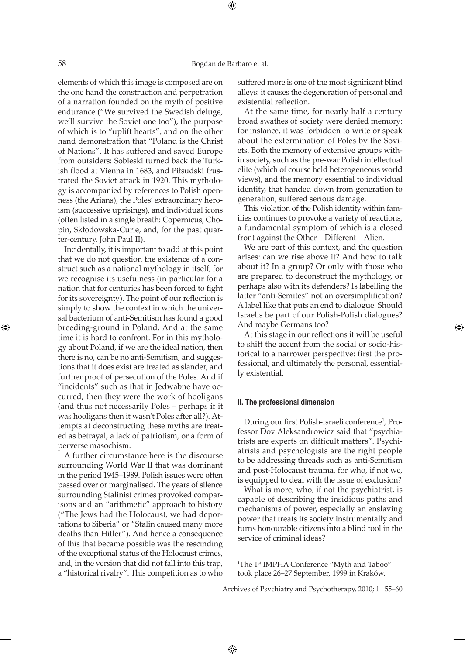⊕

elements of which this image is composed are on the one hand the construction and perpetration of a narration founded on the myth of positive endurance ("We survived the Swedish deluge, we'll survive the Soviet one too"), the purpose of which is to "uplift hearts", and on the other hand demonstration that "Poland is the Christ of Nations". It has suffered and saved Europe from outsiders: Sobieski turned back the Turkish flood at Vienna in 1683, and Piłsudski frustrated the Soviet attack in 1920. This mythology is accompanied by references to Polish openness (the Arians), the Poles' extraordinary heroism (successive uprisings), and individual icons (often listed in a single breath: Copernicus, Chopin, Skłodowska-Curie, and, for the past quarter-century, John Paul II).

Incidentally, it is important to add at this point that we do not question the existence of a construct such as a national mythology in itself, for we recognise its usefulness (in particular for a nation that for centuries has been forced to fight for its sovereignty). The point of our reflection is simply to show the context in which the universal bacterium of anti-Semitism has found a good breeding-ground in Poland. And at the same time it is hard to confront. For in this mythology about Poland, if we are the ideal nation, then there is no, can be no anti-Semitism, and suggestions that it does exist are treated as slander, and further proof of persecution of the Poles. And if "incidents" such as that in Jedwabne have occurred, then they were the work of hooligans (and thus not necessarily Poles – perhaps if it was hooligans then it wasn't Poles after all?). Attempts at deconstructing these myths are treated as betrayal, a lack of patriotism, or a form of perverse masochism.

A further circumstance here is the discourse surrounding World War II that was dominant in the period 1945–1989. Polish issues were often passed over or marginalised. The years of silence surrounding Stalinist crimes provoked comparisons and an "arithmetic" approach to history ("The Jews had the Holocaust, we had deportations to Siberia" or "Stalin caused many more deaths than Hitler"). And hence a consequence of this that became possible was the rescinding of the exceptional status of the Holocaust crimes, and, in the version that did not fall into this trap, a "historical rivalry". This competition as to who

suffered more is one of the most significant blind alleys: it causes the degeneration of personal and existential reflection.

At the same time, for nearly half a century broad swathes of society were denied memory: for instance, it was forbidden to write or speak about the extermination of Poles by the Soviets. Both the memory of extensive groups within society, such as the pre-war Polish intellectual elite (which of course held heterogeneous world views), and the memory essential to individual identity, that handed down from generation to generation, suffered serious damage.

This violation of the Polish identity within families continues to provoke a variety of reactions, a fundamental symptom of which is a closed front against the Other – Different – Alien.

We are part of this context, and the question arises: can we rise above it? And how to talk about it? In a group? Or only with those who are prepared to deconstruct the mythology, or perhaps also with its defenders? Is labelling the latter "anti-Semites" not an oversimplification? A label like that puts an end to dialogue. Should Israelis be part of our Polish-Polish dialogues? And maybe Germans too?

At this stage in our reflections it will be useful to shift the accent from the social or socio-historical to a narrower perspective: first the professional, and ultimately the personal, essentially existential.

## **II. The professional dimension**

During our first Polish-Israeli conference<sup>1</sup>, Professor Dov Aleksandrowicz said that "psychiatrists are experts on difficult matters". Psychiatrists and psychologists are the right people to be addressing threads such as anti-Semitism and post-Holocaust trauma, for who, if not we, is equipped to deal with the issue of exclusion?

What is more, who, if not the psychiatrist, is capable of describing the insidious paths and mechanisms of power, especially an enslaving power that treats its society instrumentally and turns honourable citizens into a blind tool in the service of criminal ideas?

 $\bigoplus$ 

⊕

<sup>&</sup>lt;sup>1</sup>The 1<sup>st</sup> IMPHA Conference "Myth and Taboo" took place 26–27 September, 1999 in Kraków.

Archives of Psychiatry and Psychotherapy, 2010; 1 : 55–60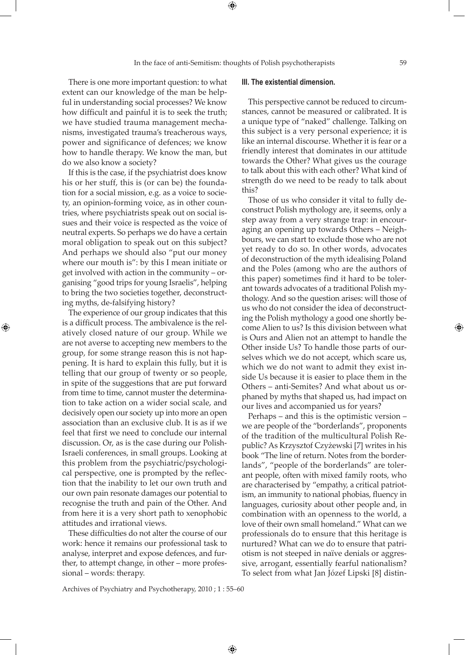There is one more important question: to what extent can our knowledge of the man be helpful in understanding social processes? We know how difficult and painful it is to seek the truth; we have studied trauma management mechanisms, investigated trauma's treacherous ways, power and significance of defences; we know how to handle therapy. We know the man, but do we also know a society?

If this is the case, if the psychiatrist does know his or her stuff, this is (or can be) the foundation for a social mission, e.g. as a voice to society, an opinion-forming voice, as in other countries, where psychiatrists speak out on social issues and their voice is respected as the voice of neutral experts. So perhaps we do have a certain moral obligation to speak out on this subject? And perhaps we should also "put our money where our mouth is": by this I mean initiate or get involved with action in the community – organising "good trips for young Israelis", helping to bring the two societies together, deconstructing myths, de-falsifying history?

The experience of our group indicates that this is a difficult process. The ambivalence is the relatively closed nature of our group. While we are not averse to accepting new members to the group, for some strange reason this is not happening. It is hard to explain this fully, but it is telling that our group of twenty or so people, in spite of the suggestions that are put forward from time to time, cannot muster the determination to take action on a wider social scale, and decisively open our society up into more an open association than an exclusive club. It is as if we feel that first we need to conclude our internal discussion. Or, as is the case during our Polish-Israeli conferences, in small groups. Looking at this problem from the psychiatric/psychological perspective, one is prompted by the reflection that the inability to let our own truth and our own pain resonate damages our potential to recognise the truth and pain of the Other. And from here it is a very short path to xenophobic attitudes and irrational views.

⊕

These difficulties do not alter the course of our work: hence it remains our professional task to analyse, interpret and expose defences, and further, to attempt change, in other – more professional – words: therapy.

## **III. The existential dimension.**

This perspective cannot be reduced to circumstances, cannot be measured or calibrated. It is a unique type of "naked" challenge. Talking on this subject is a very personal experience; it is like an internal discourse. Whether it is fear or a friendly interest that dominates in our attitude towards the Other? What gives us the courage to talk about this with each other? What kind of strength do we need to be ready to talk about this?

Those of us who consider it vital to fully deconstruct Polish mythology are, it seems, only a step away from a very strange trap: in encouraging an opening up towards Others – Neighbours, we can start to exclude those who are not yet ready to do so. In other words, advocates of deconstruction of the myth idealising Poland and the Poles (among who are the authors of this paper) sometimes find it hard to be tolerant towards advocates of a traditional Polish mythology. And so the question arises: will those of us who do not consider the idea of deconstructing the Polish mythology a good one shortly become Alien to us? Is this division between what is Ours and Alien not an attempt to handle the Other inside Us? To handle those parts of ourselves which we do not accept, which scare us, which we do not want to admit they exist inside Us because it is easier to place them in the Others – anti-Semites? And what about us orphaned by myths that shaped us, had impact on our lives and accompanied us for years?

Perhaps – and this is the optimistic version – we are people of the "borderlands", proponents of the tradition of the multicultural Polish Republic? As Krzysztof Czyżewski [7] writes in his book "The line of return. Notes from the borderlands", "people of the borderlands" are tolerant people, often with mixed family roots, who are characterised by "empathy, a critical patriotism, an immunity to national phobias, fluency in languages, curiosity about other people and, in combination with an openness to the world, a love of their own small homeland." What can we professionals do to ensure that this heritage is nurtured? What can we do to ensure that patriotism is not steeped in naïve denials or aggressive, arrogant, essentially fearful nationalism? To select from what Jan Józef Lipski [8] distin-

Archives of Psychiatry and Psychotherapy, 2010 ; 1 : 55–60

 $\bigoplus$